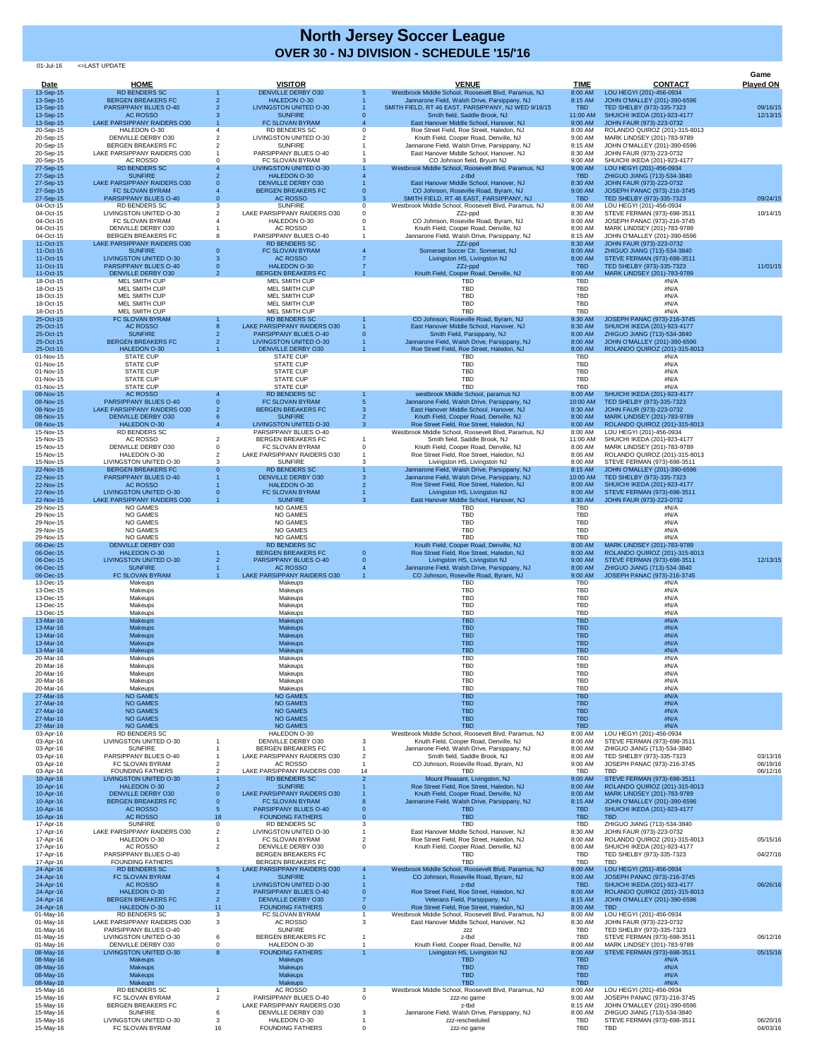| Date                   | <b>HOME</b>                                               |    | <b>VISITOR</b>                                              |             | <b>VENUE</b>                                                                                        | <b>TIME</b>              | <b>CONTACT</b>                                                | Game<br><b>Played ON</b> |
|------------------------|-----------------------------------------------------------|----|-------------------------------------------------------------|-------------|-----------------------------------------------------------------------------------------------------|--------------------------|---------------------------------------------------------------|--------------------------|
| 13-Sep-15              | <b>RD BENDERS SC</b>                                      |    | <b>DENVILLE DERBY O30</b>                                   | 5           | Westbrook Middle School, Roosevelt Blvd, Paramus, NJ                                                | 8:00 AM                  | LOU HEGYI (201)-456-0934                                      |                          |
| 13-Sep-15<br>13-Sep-15 | <b>BERGEN BREAKERS FC</b><br><b>PARSIPPANY BLUES O-40</b> |    | <b>HALEDON O-30</b><br><b>LIVINGSTON UNITED O-30</b>        |             | Jannarone Field, Walsh Drive, Parsippany, NJ<br>SMITH FIELD, RT 46 EAST, PARSIPPANY, NJ WED 9/16/15 | 8:15 AM<br><b>TBD</b>    | JOHN O'MALLEY (201)-390-6596<br>TED SHELBY (973)-335-7323     | 09/16/15                 |
| 13-Sep-15              | AC ROSSO                                                  |    | <b>SUNFIRE</b>                                              |             | Smith field, Saddle Brook, NJ                                                                       | 11:00 AM                 | SHUICHI IKEDA (201)-923-4177                                  | 12/13/15                 |
| 13-Sep-15<br>20-Sep-15 | <b>LAKE PARSIPPANY RAIDERS O30</b><br>HALEDON O-30        |    | FC SLOVAN BYRAM<br><b>RD BENDERS SC</b>                     |             | East Hanover Middle School, Hanover, NJ<br>Roe Street Field, Roe Street, Haledon, NJ                | 9:00 AM<br>8:00 AM       | JOHN FAUR (973)-223-0732<br>ROLANDO QUIROZ (201)-315-8013     |                          |
| 20-Sep-15<br>20-Sep-15 | <b>DENVILLE DERBY O30</b><br><b>BERGEN BREAKERS FC</b>    |    | LIVINGSTON UNITED O-30<br><b>SUNFIRE</b>                    |             | Knuth Field, Cooper Road, Denville, NJ<br>Jannarone Field, Walsh Drive, Parsippany, NJ              | 9:00 AM<br>8:15 AM       | MARK LINDSEY (201)-783-9789<br>JOHN O'MALLEY (201)-390-6596   |                          |
| 20-Sep-15<br>20-Sep-15 | LAKE PARSIPPANY RAIDERS O30<br>AC ROSSO                   |    | PARSIPPANY BLUES O-40<br>FC SLOVAN BYRAM                    |             | East Hanover Middle School, Hanover, NJ<br>CO Johnson field, Bryum NJ                               | 8:30 AM<br>9:00 AM       | JOHN FAUR (973)-223-0732<br>SHUICHI IKEDA (201)-923-4177      |                          |
| 27-Sep-15              | <b>RD BENDERS SC</b>                                      |    | <b>LIVINGSTON UNITED O-30</b>                               |             | Westbrook Middle School, Roosevelt Blvd, Paramus, NJ                                                | 9:00 AM                  | LOU HEGYI (201)-456-0934                                      |                          |
| 27-Sep-15<br>27-Sep-15 | <b>SUNFIRE</b><br>LAKE PARSIPPANY RAIDERS O30             |    | <b>HALEDON O-30</b><br><b>DENVILLE DERBY 030</b>            |             | z-tbd<br>East Hanover Middle School, Hanover, NJ                                                    | <b>TBD</b><br>8:30 AM    | ZHIGUO JIANG (713)-534-3840<br>JOHN FAUR (973)-223-0732       |                          |
| 27-Sep-15              | FC SLOVAN BYRAM<br><b>PARSIPPANY BLUES O-40</b>           |    | <b>BERGEN BREAKERS FC</b><br><b>AC ROSSO</b>                |             | CO Johnson, Roseville Road, Byram, NJ<br>SMITH FIELD, RT 46 EAST, PARSIPPANY, NJ                    | 9:00 AM<br><b>TBD</b>    | JOSEPH PANAC (973)-216-3745                                   | 09/24/15                 |
| 27-Sep-15<br>04-Oct-15 | <b>RD BENDERS SC</b>                                      |    | <b>SUNFIRE</b>                                              | $\mathbf 0$ | Westbrook Middle School, Roosevelt Blvd, Paramus, NJ                                                | 8:00 AM                  | TED SHELBY (973)-335-7323<br>LOU HEGYI (201)-456-0934         |                          |
| 04-Oct-15<br>04-Oct-15 | LIVINGSTON UNITED O-30<br>FC SLOVAN BYRAM                 |    | LAKE PARSIPPANY RAIDERS O30<br>HALEDON O-30                 |             | ZZz-ppd<br>CO Johnson, Roseville Road, Byram, NJ                                                    | 8:30 AM<br>9:00 AM       | STEVE FERMAN (973)-698-3511<br>JOSEPH PANAC (973)-216-3745    | 10/14/15                 |
| 04-Oct-15              | <b>DENVILLE DERBY O30</b>                                 |    | AC ROSSO                                                    |             | Knuth Field, Cooper Road, Denville, NJ                                                              | 8:00 AM                  | MARK LINDSEY (201)-783-9789                                   |                          |
| 04-Oct-15<br>11-Oct-15 | <b>BERGEN BREAKERS FC</b><br>LAKE PARSIPPANY RAIDERS O30  |    | PARSIPPANY BLUES O-40<br><b>RD BENDERS SC</b>               |             | Jannarone Field, Walsh Drive, Parsippany, NJ<br>ZZz-ppd                                             | 8:15 AM<br>8:30 AM       | JOHN O'MALLEY (201)-390-6596<br>JOHN FAUR (973)-223-0732      |                          |
| 11-Oct-15<br>11-Oct-15 | <b>SUNFIRE</b><br><b>LIVINGSTON UNITED O-30</b>           |    | FC SLOVAN BYRAM<br>AC ROSSO                                 |             | Somerset Soccer Ctr, Somerset, NJ<br>Livingston HS, Livingston NJ                                   | 8:00 AM<br>8:00 AM       | ZHIGUO JIANG (713)-534-3840<br>STEVE FERMAN (973)-698-3511    |                          |
| 11-Oct-15              | <b>PARSIPPANY BLUES O-40</b>                              |    | <b>HALEDON O-30</b>                                         |             | ZZz-ppd                                                                                             | <b>TBD</b>               | TED SHELBY (973)-335-7323                                     | 11/01/15                 |
| 11-Oct-15<br>18-Oct-15 | <b>DENVILLE DERBY O30</b><br><b>MEL SMITH CUP</b>         |    | <b>BERGEN BREAKERS FC</b><br><b>MEL SMITH CUP</b>           |             | Knuth Field, Cooper Road, Denville, NJ<br><b>TBD</b>                                                | 8:00 AM<br>TBD           | MARK LINDSEY (201)-783-9789<br>#N/A                           |                          |
| 18-Oct-15<br>18-Oct-15 | <b>MEL SMITH CUP</b><br><b>MEL SMITH CUP</b>              |    | MEL SMITH CUP<br><b>MEL SMITH CUP</b>                       |             | <b>TBD</b><br><b>TBD</b>                                                                            | <b>TBD</b><br><b>TBD</b> | #N/A<br>#N/A                                                  |                          |
| 18-Oct-15              | <b>MEL SMITH CUP</b>                                      |    | <b>MEL SMITH CUP</b>                                        |             | <b>TBD</b>                                                                                          | <b>TBD</b>               | #N/A                                                          |                          |
| 18-Oct-15<br>25-Oct-15 | <b>MEL SMITH CUP</b><br>FC SLOVAN BYRAM                   |    | <b>MEL SMITH CUP</b><br><b>RD BENDERS SC</b>                |             | <b>TBD</b><br>CO Johnson, Roseville Road, Byram, NJ                                                 | <b>TBD</b><br>9:30 AM    | #N/A<br>JOSEPH PANAC (973)-216-3745                           |                          |
| 25-Oct-15<br>25-Oct-15 | <b>AC ROSSO</b><br><b>SUNFIRE</b>                         |    | LAKE PARSIPPANY RAIDERS 030<br><b>PARSIPPANY BLUES O-40</b> |             | East Hanover Middle School, Hanover, NJ<br>Smith Field, Parsippany, NJ                              | 8:30 AM<br>8:00 AM       | SHUICHI IKEDA (201)-923-4177<br>ZHIGUO JIANG (713)-534-3840   |                          |
| 25-Oct-15              | <b>BERGEN BREAKERS FC</b>                                 |    | <b>LIVINGSTON UNITED O-30</b>                               |             | Jannarone Field, Walsh Drive, Parsippany, NJ                                                        | 8:00 AM                  | JOHN O'MALLEY (201)-390-6596                                  |                          |
| 25-Oct-15<br>01-Nov-15 | HALEDON O-30<br><b>STATE CUP</b>                          |    | <b>DENVILLE DERBY O30</b><br><b>STATE CUP</b>               |             | Roe Street Field, Roe Street, Haledon, NJ<br><b>TBD</b>                                             | 8:00 AM<br><b>TBD</b>    | ROLANDO QUIROZ (201)-315-8013<br>#N/A                         |                          |
| 01-Nov-15<br>01-Nov-15 | <b>STATE CUP</b><br><b>STATE CUP</b>                      |    | <b>STATE CUP</b><br><b>STATE CUP</b>                        |             | <b>TBD</b><br><b>TBD</b>                                                                            | <b>TBD</b><br><b>TBD</b> | #N/A<br>#N/A                                                  |                          |
| 01-Nov-15              | <b>STATE CUP</b>                                          |    | <b>STATE CUP</b>                                            |             | <b>TBD</b>                                                                                          | <b>TBD</b>               | #N/A                                                          |                          |
| 01-Nov-15<br>08-Nov-15 | <b>STATE CUP</b><br><b>AC ROSSO</b>                       |    | <b>STATE CUP</b><br><b>RD BENDERS SC</b>                    |             | <b>TBD</b><br>westbrook Middle School, paramus NJ                                                   | <b>TBD</b><br>8:00 AM    | #N/A<br>SHUICHI IKEDA (201)-923-4177                          |                          |
| 08-Nov-15              | <b>PARSIPPANY BLUES O-40</b>                              |    | FC SLOVAN BYRAM                                             |             | Jannarone Field, Walsh Drive, Parsippany, NJ                                                        | 10:00 AM                 | TED SHELBY (973)-335-7323                                     |                          |
| 08-Nov-15<br>08-Nov-15 | LAKE PARSIPPANY RAIDERS O30<br><b>DENVILLE DERBY O30</b>  |    | <b>BERGEN BREAKERS FC</b><br><b>SUNFIRE</b>                 |             | East Hanover Middle School, Hanover, NJ<br>Knuth Field, Cooper Road, Denville, NJ                   | 8:30 AM<br>8:00 AM       | JOHN FAUR (973)-223-0732<br>MARK LINDSEY (201)-783-9789       |                          |
| 08-Nov-15<br>15-Nov-15 | HALEDON O-30<br><b>RD BENDERS SC</b>                      |    | <b>LIVINGSTON UNITED O-30</b><br>PARSIPPANY BLUES O-40      |             | Roe Street Field, Roe Street, Haledon, NJ<br>Westbrook Middle School, Roosevelt Blvd, Paramus, NJ   | 8:00 AM<br>8:00 AM       | ROLANDO QUIROZ (201)-315-8013<br>LOU HEGYI (201)-456-0934     |                          |
| 15-Nov-15              | AC ROSSO                                                  |    | <b>BERGEN BREAKERS FC</b>                                   |             | Smith field, Saddle Brook, NJ                                                                       | 11:00 AM                 | SHUICHI IKEDA (201)-923-4177                                  |                          |
| 15-Nov-15<br>15-Nov-15 | <b>DENVILLE DERBY O30</b><br>HALEDON O-30                 |    | FC SLOVAN BYRAM<br>LAKE PARSIPPANY RAIDERS O30              |             | Knuth Field, Cooper Road, Denville, NJ<br>Roe Street Field, Roe Street, Haledon, NJ                 | 8:00 AM<br>8:00 AM       | MARK LINDSEY (201)-783-9789<br>ROLANDO QUIROZ (201)-315-8013  |                          |
| 15-Nov-15<br>22-Nov-15 | LIVINGSTON UNITED O-30<br><b>BERGEN BREAKERS FC</b>       |    | <b>SUNFIRE</b><br><b>RD BENDERS SC</b>                      |             | Livingston HS, Livingston NJ<br>Jannarone Field, Walsh Drive, Parsippany, NJ                        | 8:00 AM<br>8:15 AM       | STEVE FERMAN (973)-698-3511                                   |                          |
| 22-Nov-15              | <b>PARSIPPANY BLUES O-40</b>                              |    | <b>DENVILLE DERBY O30</b>                                   |             | Jannarone Field, Walsh Drive, Parsippany, NJ                                                        | 10:00 AM                 | JOHN O'MALLEY (201)-390-6596<br>TED SHELBY (973)-335-7323     |                          |
| 22-Nov-15<br>22-Nov-15 | AC ROSSO<br><b>LIVINGSTON UNITED O-30</b>                 |    | <b>HALEDON O-30</b><br>FC SLOVAN BYRAM                      |             | Roe Street Field, Roe Street, Haledon, NJ<br>Livingston HS, Livingston NJ                           | 8:00 AM<br>9:00 AM       | SHUICHI IKEDA (201)-923-4177<br>STEVE FERMAN (973)-698-3511   |                          |
| 22-Nov-15              | LAKE PARSIPPANY RAIDERS O30                               |    | <b>SUNFIRE</b>                                              |             | East Hanover Middle School, Hanover, NJ                                                             | 8:30 AM                  | JOHN FAUR (973)-223-0732                                      |                          |
| 29-Nov-15<br>29-Nov-15 | <b>NO GAMES</b><br><b>NO GAMES</b>                        |    | <b>NO GAMES</b><br><b>NO GAMES</b>                          |             | TBD<br><b>TBD</b>                                                                                   | <b>TBD</b><br><b>TBD</b> | #N/A<br>#N/A                                                  |                          |
| 29-Nov-15<br>29-Nov-15 | <b>NO GAMES</b><br><b>NO GAMES</b>                        |    | <b>NO GAMES</b><br><b>NO GAMES</b>                          |             | <b>TBD</b><br><b>TBD</b>                                                                            | <b>TBD</b><br><b>TBD</b> | #N/A<br>#N/A                                                  |                          |
| 29-Nov-15              | <b>NO GAMES</b>                                           |    | <b>NO GAMES</b>                                             |             | <b>TBD</b>                                                                                          | <b>TBD</b>               | #N/A                                                          |                          |
| 06-Dec-15<br>06-Dec-15 | <b>DENVILLE DERBY O30</b><br><b>HALEDON O-30</b>          |    | <b>RD BENDERS SC</b><br><b>BERGEN BREAKERS FC</b>           | $\theta$    | Knuth Field, Cooper Road, Denville, NJ<br>Roe Street Field, Roe Street, Haledon, NJ                 | 8:00 AM<br>8:00 AM       | MARK LINDSEY (201)-783-9789<br>ROLANDO QUIROZ (201)-315-8013  |                          |
| 06-Dec-15<br>06-Dec-15 | <b>LIVINGSTON UNITED O-30</b><br><b>SUNFIRE</b>           |    | PARSIPPANY BLUES O-40<br>AC ROSSO                           |             | Livingston HS, Livingston NJ<br>Jannarone Field, Walsh Drive, Parsippany, NJ                        | 9:00 AM<br>8:00 AM       | STEVE FERMAN (973)-698-3511<br>ZHIGUO JIANG (713)-534-3840    | 12/13/15                 |
| 06-Dec-15              | FC SLOVAN BYRAM                                           |    | LAKE PARSIPPANY RAIDERS O30                                 |             | CO Johnson, Roseville Road, Byram, NJ                                                               | 9:00 AM                  | JOSEPH PANAC (973)-216-3745                                   |                          |
| 13-Dec-15<br>13-Dec-15 | Makeups<br>Makeups                                        |    | Makeups<br>Makeups                                          |             | <b>TBD</b><br><b>TBD</b>                                                                            | <b>TBD</b><br><b>TBD</b> | #N/A<br>#N/A                                                  |                          |
| 13-Dec-15<br>13-Dec-15 | Makeups                                                   |    | Makeups                                                     |             | <b>TBD</b><br><b>TBD</b>                                                                            | <b>TBD</b><br><b>TBD</b> | #N/A<br>#N/A                                                  |                          |
| 13-Dec-15              | Makeups<br>Makeups                                        |    | Makeups<br>Makeups                                          |             | <b>TBD</b>                                                                                          | <b>TBD</b>               | #N/A                                                          |                          |
| 13-Mar-16<br>13-Mar-16 | <b>Makeups</b><br><b>Makeups</b>                          |    | <b>Makeups</b><br><b>Makeups</b>                            |             | <b>TBD</b><br><b>TBD</b>                                                                            | <b>TBD</b><br><b>TBD</b> | #N/A<br>#N/A                                                  |                          |
| 13-Mar-16<br>13-Mar-16 | <b>Makeups</b>                                            |    | <b>Makeups</b>                                              |             | <b>TBD</b><br><b>TBD</b>                                                                            | <b>TBD</b><br><b>TBD</b> | #N/A<br>#N/A                                                  |                          |
| 13-Mar-16              | <b>Makeups</b><br><b>Makeups</b>                          |    | <b>Makeups</b><br><b>Makeups</b>                            |             | <b>TBD</b>                                                                                          | <b>TBD</b>               | #N/A                                                          |                          |
| 20-Mar-16<br>20-Mar-16 | Makeups<br>Makeups                                        |    | Makeups<br>Makeups                                          |             | <b>TBD</b><br><b>TBD</b>                                                                            | <b>TBD</b><br><b>TBD</b> | #N/A<br>#N/A                                                  |                          |
| 20-Mar-16              | Makeups                                                   |    | Makeups                                                     |             | <b>TBD</b>                                                                                          | <b>TBD</b>               | #N/A                                                          |                          |
| 20-Mar-16<br>20-Mar-16 | Makeups<br>Makeups                                        |    | Makeups<br>Makeups                                          |             | <b>TBD</b><br><b>TBD</b>                                                                            | <b>TBD</b><br><b>TBD</b> | #N/A<br>#N/A                                                  |                          |
| 27-Mar-16<br>27-Mar-16 | <b>NO GAMES</b><br><b>NO GAMES</b>                        |    | <b>NO GAMES</b><br><b>NO GAMES</b>                          |             | <b>TBD</b><br><b>TBD</b>                                                                            | <b>TBD</b><br><b>TBD</b> | #N/A<br>#N/A                                                  |                          |
| 27-Mar-16              | <b>NO GAMES</b>                                           |    | <b>NO GAMES</b>                                             |             | <b>TBD</b>                                                                                          | <b>TBD</b>               | #N/A                                                          |                          |
| 27-Mar-16<br>27-Mar-16 | <b>NO GAMES</b><br><b>NO GAMES</b>                        |    | <b>NO GAMES</b><br><b>NO GAMES</b>                          |             | <b>TBD</b><br><b>TBD</b>                                                                            | <b>TBD</b><br><b>TBD</b> | #N/A<br>#N/A                                                  |                          |
| 03-Apr-16<br>03-Apr-16 | <b>RD BENDERS SC</b><br>LIVINGSTON UNITED O-30            |    | HALEDON O-30<br><b>DENVILLE DERBY O30</b>                   |             | Westbrook Middle School, Roosevelt Blvd, Paramus, NJ<br>Knuth Field, Cooper Road, Denville, NJ      | 8:00 AM<br>8:00 AM       | LOU HEGYI (201)-456-0934<br>STEVE FERMAN (973)-698-3511       |                          |
| 03-Apr-16              | <b>SUNFIRE</b>                                            |    | <b>BERGEN BREAKERS FC</b>                                   |             | Jannarone Field, Walsh Drive, Parsippany, NJ                                                        | 8:00 AM                  | ZHIGUO JIANG (713)-534-3840                                   |                          |
| 03-Apr-16<br>03-Apr-16 | PARSIPPANY BLUES O-40<br>FC SLOVAN BYRAM                  |    | LAKE PARSIPPANY RAIDERS O30<br>AC ROSSO                     |             | Smith field, Saddle Brook, NJ<br>CO Johnson, Roseville Road, Byram, NJ                              | 8:00 AM<br>9:00 AM       | TED SHELBY (973)-335-7323<br>JOSEPH PANAC (973)-216-3745      | 03/13/16<br>06/19/16     |
| 03-Apr-16<br>10-Apr-16 | <b>FOUNDING FATHERS</b><br>LIVINGSTON UNITED O-30         |    | LAKE PARSIPPANY RAIDERS O30<br><b>RD BENDERS SC</b>         | 14          | <b>TBD</b><br>Mount Pleasant, Livingston, NJ                                                        | TBD<br>9:00 AM           | <b>TBD</b><br>STEVE FERMAN (973)-698-3511                     | 06/12/16                 |
| 10-Apr-16              | <b>HALEDON O-30</b>                                       |    | <b>SUNFIRE</b>                                              |             | Roe Street Field, Roe Street, Haledon, NJ                                                           | 8:00 AM                  | ROLANDO QUIROZ (201)-315-8013                                 |                          |
| 10-Apr-16<br>10-Apr-16 | <b>DENVILLE DERBY O30</b><br><b>BERGEN BREAKERS FC</b>    |    | <b>LAKE PARSIPPANY RAIDERS O30</b><br>FC SLOVAN BYRAM       |             | Knuth Field, Cooper Road, Denville, NJ<br>Jannarone Field, Walsh Drive, Parsippany, NJ              | 8:00 AM<br>8:15 AM       | MARK LINDSEY (201)-783-9789<br>JOHN O'MALLEY (201)-390-6596   |                          |
| 10-Apr-16<br>10-Apr-16 | AC ROSSO<br><b>AC ROSSO</b>                               | 18 | <b>PARSIPPANY BLUES O-40</b><br><b>FOUNDING FATHERS</b>     |             | <b>TBD</b><br><b>TBD</b>                                                                            | <b>TBD</b><br><b>TBD</b> | SHUICHI IKEDA (201)-923-4177<br><b>TBD</b>                    |                          |
| 17-Apr-16              | <b>SUNFIRE</b>                                            |    | <b>RD BENDERS SC</b>                                        |             | <b>TBD</b>                                                                                          | <b>TBD</b>               | ZHIGUO JIANG (713)-534-3840                                   |                          |
| 17-Apr-16<br>17-Apr-16 | LAKE PARSIPPANY RAIDERS O30<br>HALEDON O-30               |    | LIVINGSTON UNITED O-30<br>FC SLOVAN BYRAM                   |             | East Hanover Middle School, Hanover, NJ<br>Roe Street Field, Roe Street, Haledon, NJ                | 8:30 AM<br>8:00 AM       | JOHN FAUR (973)-223-0732<br>ROLANDO QUIROZ (201)-315-8013     | 05/15/16                 |
| 17-Apr-16              | AC ROSSO<br>PARSIPPANY BLUES O-40                         |    | DENVILLE DERBY O30<br><b>BERGEN BREAKERS FC</b>             |             | Knuth Field, Cooper Road, Denville, NJ<br><b>TBD</b>                                                | 8:00 AM                  | SHUICHI IKEDA (201)-923-4177                                  |                          |
| 17-Apr-16<br>17-Apr-16 | <b>FOUNDING FATHERS</b>                                   |    | <b>BERGEN BREAKERS FC</b>                                   |             | <b>TBD</b>                                                                                          | TBD<br><b>TBD</b>        | TED SHELBY (973)-335-7323<br><b>TBD</b>                       | 04/27/16                 |
| 24-Apr-16<br>24-Apr-16 | <b>RD BENDERS SC</b><br>FC SLOVAN BYRAM                   |    | LAKE PARSIPPANY RAIDERS O30<br><b>SUNFIRE</b>               |             | Westbrook Middle School, Roosevelt Blvd, Paramus, NJ<br>CO Johnson, Roseville Road, Byram, NJ       | 8:00 AM<br>9:00 AM       | LOU HEGYI (201)-456-0934<br>JOSEPH PANAC (973)-216-3745       |                          |
| 24-Apr-16              | <b>AC ROSSO</b>                                           |    | <b>LIVINGSTON UNITED O-30</b>                               |             | z-tbd                                                                                               | <b>TBD</b>               | SHUICHI IKEDA (201)-923-4177                                  | 06/26/16                 |
| 24-Apr-16<br>24-Apr-16 | <b>HALEDON O-30</b><br><b>BERGEN BREAKERS FC</b>          |    | <b>PARSIPPANY BLUES O-40</b><br>DENVILLE DERBY O30          |             | Roe Street Field, Roe Street, Haledon, NJ<br>Veterans Field, Parsippany, NJ                         | 8:00 AM<br>8:15 AM       | ROLANDO QUIROZ (201)-315-8013<br>JOHN O'MALLEY (201)-390-6596 |                          |
| 24-Apr-16<br>01-May-16 | HALEDON O-30<br><b>RD BENDERS SC</b>                      | 11 | <b>FOUNDING FATHERS</b><br>FC SLOVAN BYRAM                  | $\theta$    | Roe Street Field, Roe Street, Haledon, NJ<br>Westbrook Middle School, Roosevelt Blvd, Paramus, NJ   | 8:00 AM<br>8:00 AM       | <b>TBD</b><br>LOU HEGYI (201)-456-0934                        |                          |
| 01-May-16              | LAKE PARSIPPANY RAIDERS O30                               |    | AC ROSSO                                                    |             | East Hanover Middle School, Hanover, NJ                                                             | 8:30 AM                  | JOHN FAUR (973)-223-0732                                      |                          |
| 01-May-16<br>01-May-16 | PARSIPPANY BLUES O-40<br>LIVINGSTON UNITED O-30           |    | <b>SUNFIRE</b><br><b>BERGEN BREAKERS FC</b>                 |             | ZZZ<br>z-tbd                                                                                        | TBD<br>TBD               | TED SHELBY (973)-335-7323<br>STEVE FERMAN (973)-698-3511      | 06/12/16                 |
| 01-May-16<br>08-May-16 | DENVILLE DERBY 030<br><b>LIVINGSTON UNITED O-30</b>       | 8  | HALEDON O-30<br><b>FOUNDING FATHERS</b>                     |             | Knuth Field, Cooper Road, Denville, NJ<br>Livingston HS, Livingston NJ                              | 8:00 AM<br>8:00 AM       | MARK LINDSEY (201)-783-9789<br>STEVE FERMAN (973)-698-3511    | 05/15/16                 |
| 08-May-16              | <b>Makeups</b>                                            |    | <b>Makeups</b>                                              |             | <b>TBD</b>                                                                                          | <b>TBD</b>               | #N/A                                                          |                          |
| 08-May-16<br>08-May-16 | <b>Makeups</b><br>Makeups                                 |    | <b>Makeups</b><br><b>Makeups</b>                            |             | <b>TBD</b><br><b>TBD</b>                                                                            | <b>TBD</b><br><b>TBD</b> | #N/A<br>#N/A                                                  |                          |
| 08-May-16              | <b>Makeups</b>                                            |    | <b>Makeups</b>                                              |             | <b>TBD</b>                                                                                          | <b>TBD</b>               | #N/A                                                          |                          |
| 15-May-16<br>15-May-16 | <b>RD BENDERS SC</b><br>FC SLOVAN BYRAM                   |    | AC ROSSO<br>PARSIPPANY BLUES O-40                           | $\Omega$    | Westbrook Middle School, Roosevelt Blvd, Paramus, NJ<br>zzz-no game                                 | 8:00 AM<br>9:00 AM       | LOU HEGYI (201)-456-0934<br>JOSEPH PANAC (973)-216-3745       |                          |
| 15-May-16<br>15-May-16 | <b>BERGEN BREAKERS FC</b><br><b>SUNFIRE</b>               |    | LAKE PARSIPPANY RAIDERS O30<br>DENVILLE DERBY O30           |             | z-tbd<br>Jannarone Field, Walsh Drive, Parsippany, NJ                                               | 8:15 AM<br>8:00 AM       | JOHN O'MALLEY (201)-390-6596<br>ZHIGUO JIANG (713)-534-3840   |                          |
| 15-May-16<br>15-May-16 | LIVINGSTON UNITED O-30<br>FC SLOVAN BYRAM                 | 16 | HALEDON O-30<br><b>FOUNDING FATHERS</b>                     |             | zzz-rescheduled<br>zzz-no game                                                                      | <b>TBD</b><br>TBD        | STEVE FERMAN (973)-698-3511<br>TBD                            | 06/20/16<br>04/03/16     |
|                        |                                                           |    |                                                             |             |                                                                                                     |                          |                                                               |                          |

## **North Jersey Soccer League OVER 30 - NJ DIVISION - SCHEDULE '15/'16**

01-Jul-16 <=LAST UPDATE